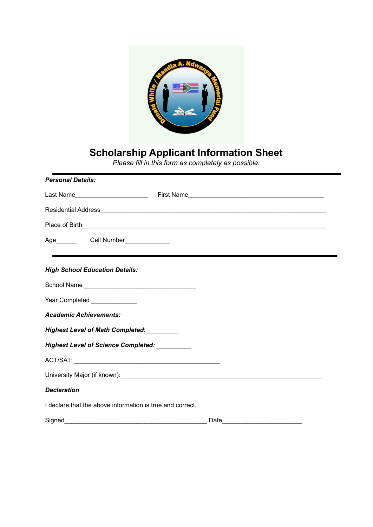

## **Scholarship Applicant Information Sheet**

*Please fill in this form as completely as possible.*

| <b>Personal Details:</b>                                  |                                                                                                               |  |  |
|-----------------------------------------------------------|---------------------------------------------------------------------------------------------------------------|--|--|
|                                                           |                                                                                                               |  |  |
|                                                           |                                                                                                               |  |  |
|                                                           |                                                                                                               |  |  |
| Age____________Cell Number________________                |                                                                                                               |  |  |
| <b>High School Education Details:</b>                     |                                                                                                               |  |  |
|                                                           |                                                                                                               |  |  |
| Year Completed ______________                             |                                                                                                               |  |  |
| <b>Academic Achievements:</b>                             |                                                                                                               |  |  |
| Highest Level of Math Completed: ________                 |                                                                                                               |  |  |
| Highest Level of Science Completed: _________             |                                                                                                               |  |  |
|                                                           |                                                                                                               |  |  |
|                                                           | University Major (if known): example and the state of the state of the state of the state of the state of the |  |  |
| <b>Declaration</b>                                        |                                                                                                               |  |  |
| I declare that the above information is true and correct. |                                                                                                               |  |  |
|                                                           |                                                                                                               |  |  |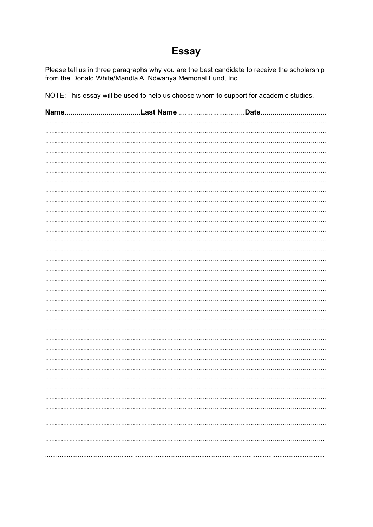## **Essay**

Please tell us in three paragraphs why you are the best candidate to receive the scholarship from the Donald White/Mandla A. Ndwanya Memorial Fund, Inc.

NOTE: This essay will be used to help us choose whom to support for academic studies.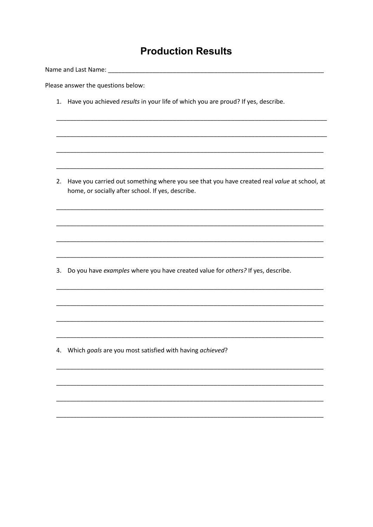## **Production Results**

Please answer the questions below:

1. Have you achieved results in your life of which you are proud? If yes, describe.

2. Have you carried out something where you see that you have created real value at school, at home, or socially after school. If yes, describe.

3. Do you have examples where you have created value for others? If yes, describe.

4. Which goals are you most satisfied with having achieved?